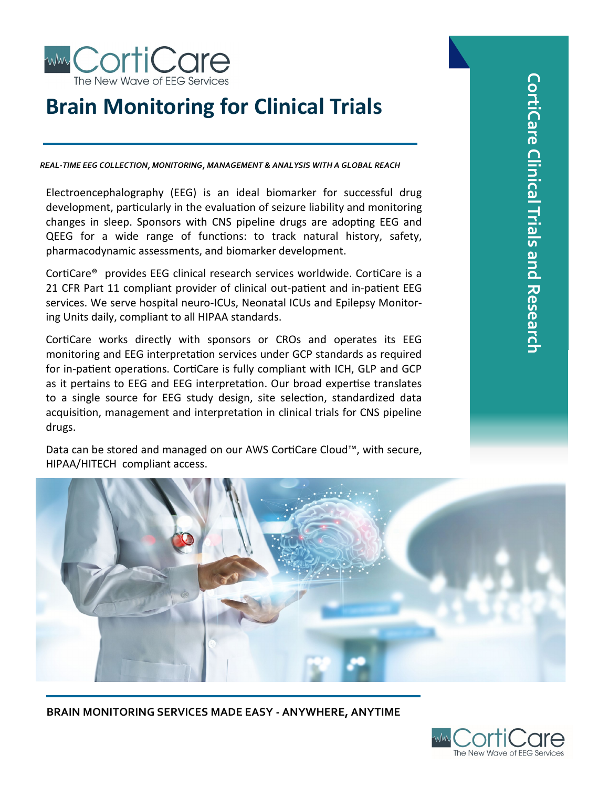

# **Brain Monitoring for Clinical Trials**

*REAL-TIME EEG COLLECTION, MONITORING, MANAGEMENT & ANALYSIS WITH A GLOBAL REACH*

Electroencephalography (EEG) is an ideal biomarker for successful drug development, particularly in the evaluation of seizure liability and monitoring changes in sleep. Sponsors with CNS pipeline drugs are adopting EEG and QEEG for a wide range of functions: to track natural history, safety, pharmacodynamic assessments, and biomarker development.

CortiCare® provides EEG clinical research services worldwide. CortiCare is a 21 CFR Part 11 compliant provider of clinical out-patient and in-patient EEG services. We serve hospital neuro-ICUs, Neonatal ICUs and Epilepsy Monitoring Units daily, compliant to all HIPAA standards.

CortiCare works directly with sponsors or CROs and operates its EEG monitoring and EEG interpretation services under GCP standards as required for in-patient operations. CortiCare is fully compliant with ICH, GLP and GCP as it pertains to EEG and EEG interpretation. Our broad expertise translates to a single source for EEG study design, site selection, standardized data acquisition, management and interpretation in clinical trials for CNS pipeline drugs.

Data can be stored and managed on our AWS CortiCare Cloud™, with secure, HIPAA/HITECH compliant access.



**BRAIN MONITORING SERVICES MADE EASY - ANYWHERE, ANYTIME**